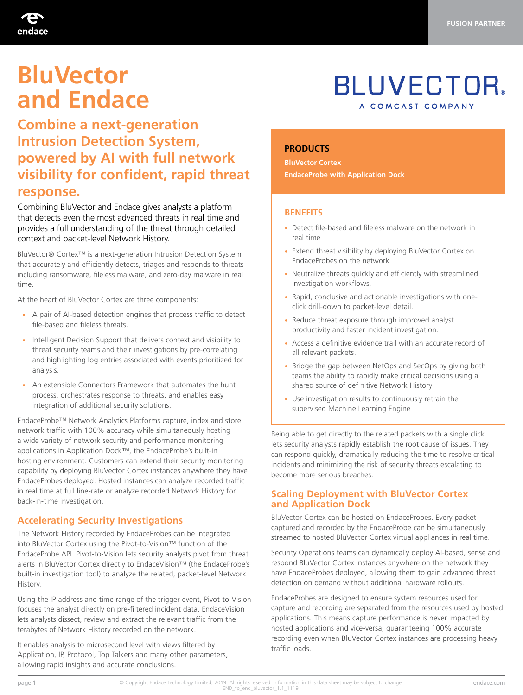

# **BluVector and Endace**

### **Combine a next-generation Intrusion Detection System, powered by AI with full network visibility for confident, rapid threat response.**

Combining BluVector and Endace gives analysts a platform that detects even the most advanced threats in real time and provides a full understanding of the threat through detailed context and packet-level Network History.

BluVector® Cortex™ is a next-generation Intrusion Detection System that accurately and efficiently detects, triages and responds to threats including ransomware, fileless malware, and zero-day malware in real time.

At the heart of BluVector Cortex are three components:

- A pair of AI-based detection engines that process traffic to detect file-based and fileless threats.
- Intelligent Decision Support that delivers context and visibility to threat security teams and their investigations by pre-correlating and highlighting log entries associated with events prioritized for analysis.
- An extensible Connectors Framework that automates the hunt process, orchestrates response to threats, and enables easy integration of additional security solutions.

EndaceProbe™ Network Analytics Platforms capture, index and store network traffic with 100% accuracy while simultaneously hosting a wide variety of network security and performance monitoring applications in Application Dock™, the EndaceProbe's built-in hosting environment. Customers can extend their security monitoring capability by deploying BluVector Cortex instances anywhere they have EndaceProbes deployed. Hosted instances can analyze recorded traffic in real time at full line-rate or analyze recorded Network History for back-in-time investigation.

#### **Accelerating Security Investigations**

The Network History recorded by EndaceProbes can be integrated into BluVector Cortex using the Pivot-to-Vision™ function of the EndaceProbe API. Pivot-to-Vision lets security analysts pivot from threat alerts in BluVector Cortex directly to EndaceVision™ (the EndaceProbe's built-in investigation tool) to analyze the related, packet-level Network History.

Using the IP address and time range of the trigger event, Pivot-to-Vision focuses the analyst directly on pre-filtered incident data. EndaceVision lets analysts dissect, review and extract the relevant traffic from the terabytes of Network History recorded on the network.

It enables analysis to microsecond level with views filtered by Application, IP, Protocol, Top Talkers and many other parameters, allowing rapid insights and accurate conclusions.

## **BLUVECTOR** A COMCAST COMPANY

#### **PRODUCTS**

**BluVector Cortex EndaceProbe with Application Dock**

#### **BENEFITS**

- Detect file-based and fileless malware on the network in real time
- Extend threat visibility by deploying BluVector Cortex on EndaceProbes on the network
- Neutralize threats quickly and efficiently with streamlined investigation workflows.
- Rapid, conclusive and actionable investigations with oneclick drill-down to packet-level detail.
- Reduce threat exposure through improved analyst productivity and faster incident investigation.
- Access a definitive evidence trail with an accurate record of all relevant packets.
- Bridge the gap between NetOps and SecOps by giving both teams the ability to rapidly make critical decisions using a shared source of definitive Network History
- Use investigation results to continuously retrain the supervised Machine Learning Engine

Being able to get directly to the related packets with a single click lets security analysts rapidly establish the root cause of issues. They can respond quickly, dramatically reducing the time to resolve critical incidents and minimizing the risk of security threats escalating to become more serious breaches.

#### **Scaling Deployment with BluVector Cortex and Application Dock**

BluVector Cortex can be hosted on EndaceProbes. Every packet captured and recorded by the EndaceProbe can be simultaneously streamed to hosted BluVector Cortex virtual appliances in real time.

Security Operations teams can dynamically deploy AI-based, sense and respond BluVector Cortex instances anywhere on the network they have EndaceProbes deployed, allowing them to gain advanced threat detection on demand without additional hardware rollouts.

EndaceProbes are designed to ensure system resources used for capture and recording are separated from the resources used by hosted applications. This means capture performance is never impacted by hosted applications and vice-versa, guaranteeing 100% accurate recording even when BluVector Cortex instances are processing heavy traffic loads.

page 1 endace.com © Copyright Endace Technology Limited, 2019. All rights reserved. Information in this data sheet may be subject to change.<br>END\_fp\_end\_bluvector\_1.1\_1119